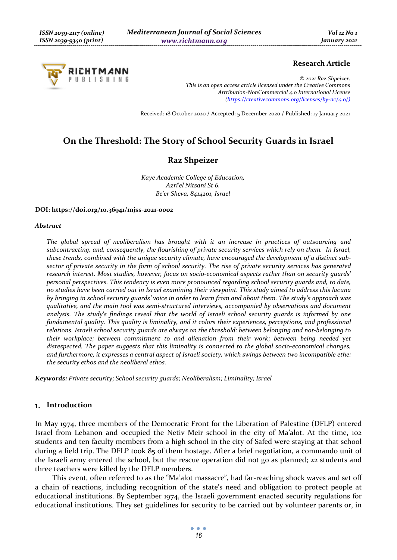# RICHTMANN PUBLISHING

# **Research Article**

*© 2021 Raz Shpeizer. This is an open access article licensed under the Creative Commons Attribution-NonCommercial 4.0 International License (https://creativecommons.org/licenses/by-nc/4.0/)*

Received: 18 October 2020 / Accepted: 5 December 2020 / Published: 17 January 2021

# **On the Threshold: The Story of School Security Guards in Israel**

# **Raz Shpeizer**

*Kaye Academic College of Education, Azri'el Nitsani St 6, Be'er Sheva, 8414201, Israel* 

#### **DOI: https://doi.org/10.36941/mjss-2021-0002**

#### *Abstract*

*The global spread of neoliberalism has brought with it an increase in practices of outsourcing and subcontracting, and, consequently, the flourishing of private security services which rely on them. In Israel, these trends, combined with the unique security climate, have encouraged the development of a distinct subsector of private security in the form of school security. The rise of private security services has generated research interest. Most studies, however, focus on socio-economical aspects rather than on security guards' personal perspectives. This tendency is even more pronounced regarding school security guards and, to date, no studies have been carried out in Israel examining their viewpoint. This study aimed to address this lacuna by bringing in school security guards' voice in order to learn from and about them. The study's approach was qualitative, and the main tool was semi-structured interviews, accompanied by observations and document analysis. The study's findings reveal that the world of Israeli school security guards is informed by one fundamental quality. This quality is liminality, and it colors their experiences, perceptions, and professional relations. Israeli school security guards are always on the threshold: between belonging and not-belonging to their workplace; between commitment to and alienation from their work; between being needed yet disrespected. The paper suggests that this liminality is connected to the global socio-economical changes, and furthermore, it expresses a central aspect of Israeli society, which swings between two incompatible ethe: the security ethos and the neoliberal ethos.* 

*Keywords: Private security; School security guards; Neoliberalism; Liminality; Israel* 

# **Introduction**

In May 1974, three members of the Democratic Front for the Liberation of Palestine (DFLP) entered Israel from Lebanon and occupied the Netiv Meir school in the city of Ma'alot. At the time, 102 students and ten faculty members from a high school in the city of Safed were staying at that school during a field trip. The DFLP took 85 of them hostage. After a brief negotiation, a commando unit of the Israeli army entered the school, but the rescue operation did not go as planned; 22 students and three teachers were killed by the DFLP members.

This event, often referred to as the "Ma'alot massacre", had far-reaching shock waves and set off a chain of reactions, including recognition of the state's need and obligation to protect people at educational institutions. By September 1974, the Israeli government enacted security regulations for educational institutions. They set guidelines for security to be carried out by volunteer parents or, in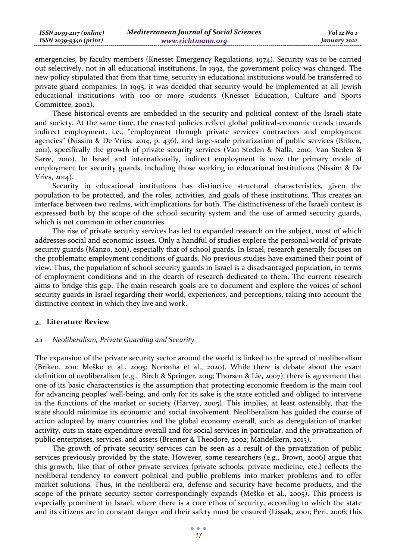| ISSN 2039-2117 (online) | <b>Mediterranean Journal of Social Sciences</b> | Vol 12 No 1  |
|-------------------------|-------------------------------------------------|--------------|
| ISSN 2039-9340 (print)  | www.richtmann.org                               | January 2021 |

emergencies, by faculty members (Knesset Emergency Regulations, 1974). Security was to be carried out selectively, not in all educational institutions. In 1992, the government policy was changed. The new policy stipulated that from that time, security in educational institutions would be transferred to private guard companies. In 1995, it was decided that security would be implemented at all Jewish educational institutions with 100 or more students (Knesset Education, Culture and Sports Committee, 2002).

These historical events are embedded in the security and political context of the Israeli state and society. At the same time, the enacted policies reflect global political-economic trends towards indirect employment, i.e., "employment through private services contractors and employment agencies" (Nissim & De Vries, 2014, p. 436), and large-scale privatization of public services (Briken, 2011), specifically the growth of private security services (Van Steden & Nalla, 2010; Van Steden & Sarre, 2010). In Israel and internationally, indirect employment is now the primary mode of employment for security guards, including those working in educational institutions (Nissim & De Vries, 2014).

Security in educational institutions has distinctive structural characteristics, given the population to be protected, and the roles, activities, and goals of these institutions. This creates an interface between two realms, with implications for both. The distinctiveness of the Israeli context is expressed both by the scope of the school security system and the use of armed security guards, which is not common in other countries.

The rise of private security services has led to expanded research on the subject, most of which addresses social and economic issues. Only a handful of studies explore the personal world of private security guards (Manzo, 2011), especially that of school guards. In Israel, research generally focuses on the problematic employment conditions of guards. No previous studies have examined their point of view. Thus, the population of school security guards in Israel is a disadvantaged population, in terms of employment conditions and in the dearth of research dedicated to them. The current research aims to bridge this gap. The main research goals are to document and explore the voices of school security guards in Israel regarding their world, experiences, and perceptions, taking into account the distinctive context in which they live and work.

#### **Literature Review**

# *2.1 Neoliberalism, Private Guarding and Security*

The expansion of the private security sector around the world is linked to the spread of neoliberalism (Briken, 2011; Meško et al., 2005; Noronha et al., 2020). While there is debate about the exact definition of neoliberalism (e.g., Birch & Springer, 2019; Thorsen & Lie, 2007), there is agreement that one of its basic characteristics is the assumption that protecting economic freedom is the main tool for advancing peoples' well-being, and only for its sake is the state entitled and obliged to intervene in the functions of the market or society (Harvey, 2005). This implies, at least ostensibly, that the state should minimize its economic and social involvement. Neoliberalism has guided the course of action adopted by many countries and the global economy overall, such as deregulation of market activity, cuts in state expenditure overall and for social services in particular, and the privatization of public enterprises, services, and assets (Brenner & Theodore, 2002; Mandelkern, 2015).

The growth of private security services can be seen as a result of the privatization of public services previously provided by the state. However, some researchers (e.g., Brown, 2006) argue that this growth, like that of other private services (private schools, private medicine, etc.) reflects the neoliberal tendency to convert political and public problems into market problems and to offer market solutions. Thus, in the neoliberal era, defense and security have become products, and the scope of the private security sector correspondingly expands (Meško et al., 2005). This process is especially prominent in Israel, where there is a core ethos of security, according to which the state and its citizens are in constant danger and their safety must be ensured (Lissak, 2001; Peri, 2006; this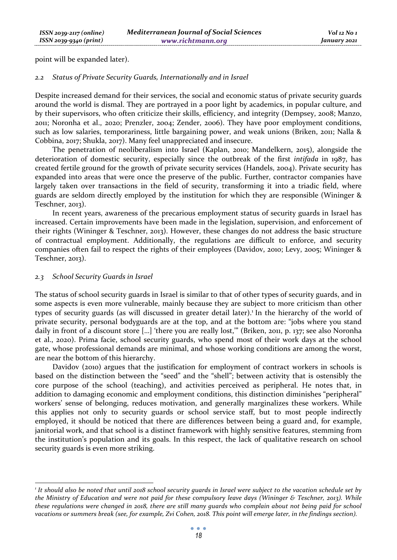point will be expanded later).

#### *2.2 Status of Private Security Guards, Internationally and in Israel*

Despite increased demand for their services, the social and economic status of private security guards around the world is dismal. They are portrayed in a poor light by academics, in popular culture, and by their supervisors, who often criticize their skills, efficiency, and integrity (Dempsey, 2008; Manzo, 2011; Noronha et al., 2020; Prenzler, 2004; Zender, 2006). They have poor employment conditions, such as low salaries, temporariness, little bargaining power, and weak unions (Briken, 2011; Nalla & Cobbina, 2017; Shukla, 2017). Many feel unappreciated and insecure.

The penetration of neoliberalism into Israel (Kaplan, 2010; Mandelkern, 2015), alongside the deterioration of domestic security, especially since the outbreak of the first *intifada* in 1987, has created fertile ground for the growth of private security services (Handels, 2004). Private security has expanded into areas that were once the preserve of the public. Further, contractor companies have largely taken over transactions in the field of security, transforming it into a triadic field, where guards are seldom directly employed by the institution for which they are responsible (Wininger & Teschner, 2013).

In recent years, awareness of the precarious employment status of security guards in Israel has increased. Certain improvements have been made in the legislation, supervision, and enforcement of their rights (Wininger & Teschner, 2013). However, these changes do not address the basic structure of contractual employment. Additionally, the regulations are difficult to enforce, and security companies often fail to respect the rights of their employees (Davidov, 2010; Levy, 2005; Wininger & Teschner, 2013).

# *2.3 School Security Guards in Israel*

The status of school security guards in Israel is similar to that of other types of security guards, and in some aspects is even more vulnerable, mainly because they are subject to more criticism than other types of security guards (as will discussed in greater detail later).<sup>1</sup> In the hierarchy of the world of private security, personal bodyguards are at the top, and at the bottom are: "jobs where you stand daily in front of a discount store […] 'there you are really lost,'" (Briken, 2011, p. 137; see also Noronha et al., 2020). Prima facie, school security guards, who spend most of their work days at the school gate, whose professional demands are minimal, and whose working conditions are among the worst, are near the bottom of this hierarchy.

Davidov (2010) argues that the justification for employment of contract workers in schools is based on the distinction between the "seed" and the "shell"; between activity that is ostensibly the core purpose of the school (teaching), and activities perceived as peripheral. He notes that, in addition to damaging economic and employment conditions, this distinction diminishes "peripheral" workers' sense of belonging, reduces motivation, and generally marginalizes these workers. While this applies not only to security guards or school service staff, but to most people indirectly employed, it should be noticed that there are differences between being a guard and, for example, janitorial work, and that school is a distinct framework with highly sensitive features, stemming from the institution's population and its goals. In this respect, the lack of qualitative research on school security guards is even more striking.

*<sup>1</sup> It should also be noted that until 2018 school security guards in Israel were subject to the vacation schedule set by the Ministry of Education and were not paid for these compulsory leave days (Wininger & Teschner, 2013). While these regulations were changed in 2018, there are still many guards who complain about not being paid for school vacations or summers break (see, for example, Zvi Cohen, 2018. This point will emerge later, in the findings section).*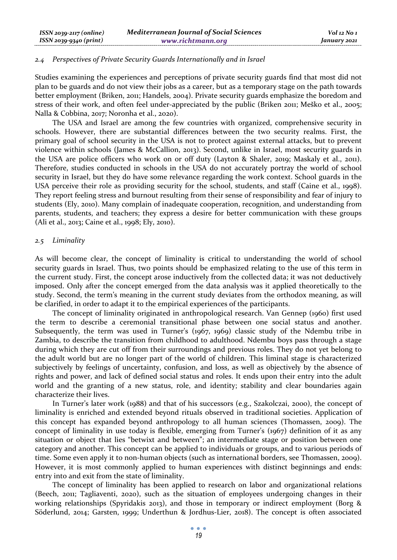#### *2.4 Perspectives of Private Security Guards Internationally and in Israel*

Studies examining the experiences and perceptions of private security guards find that most did not plan to be guards and do not view their jobs as a career, but as a temporary stage on the path towards better employment (Briken, 2011; Handels, 2004). Private security guards emphasize the boredom and stress of their work, and often feel under-appreciated by the public (Briken 2011; Meško et al., 2005; Nalla & Cobbina, 2017; Noronha et al., 2020).

The USA and Israel are among the few countries with organized, comprehensive security in schools. However, there are substantial differences between the two security realms. First, the primary goal of school security in the USA is not to protect against external attacks, but to prevent violence within schools (James & McCallion, 2013). Second, unlike in Israel, most security guards in the USA are police officers who work on or off duty (Layton & Shaler, 2019; Maskaly et al., 2011). Therefore, studies conducted in schools in the USA do not accurately portray the world of school security in Israel, but they do have some relevance regarding the work context. School guards in the USA perceive their role as providing security for the school, students, and staff (Caine et al., 1998). They report feeling stress and burnout resulting from their sense of responsibility and fear of injury to students (Ely, 2010). Many complain of inadequate cooperation, recognition, and understanding from parents, students, and teachers; they express a desire for better communication with these groups (Ali et al., 2013; Caine et al., 1998; Ely, 2010).

# *2.5 Liminality*

As will become clear, the concept of liminality is critical to understanding the world of school security guards in Israel. Thus, two points should be emphasized relating to the use of this term in the current study. First, the concept arose inductively from the collected data; it was not deductively imposed. Only after the concept emerged from the data analysis was it applied theoretically to the study. Second, the term's meaning in the current study deviates from the orthodox meaning, as will be clarified, in order to adapt it to the empirical experiences of the participants.

The concept of liminality originated in anthropological research. Van Gennep (1960) first used the term to describe a ceremonial transitional phase between one social status and another. Subsequently, the term was used in Turner's (1967, 1969) classic study of the Ndembu tribe in Zambia, to describe the transition from childhood to adulthood. Ndembu boys pass through a stage during which they are cut off from their surroundings and previous roles. They do not yet belong to the adult world but are no longer part of the world of children. This liminal stage is characterized subjectively by feelings of uncertainty, confusion, and loss, as well as objectively by the absence of rights and power, and lack of defined social status and roles. It ends upon their entry into the adult world and the granting of a new status, role, and identity; stability and clear boundaries again characterize their lives.

In Turner's later work (1988) and that of his successors (e.g., Szakolczai, 2000), the concept of liminality is enriched and extended beyond rituals observed in traditional societies. Application of this concept has expanded beyond anthropology to all human sciences (Thomassen, 2009). The concept of liminality in use today is flexible, emerging from Turner's (1967) definition of it as any situation or object that lies "betwixt and between"; an intermediate stage or position between one category and another. This concept can be applied to individuals or groups, and to various periods of time. Some even apply it to non-human objects (such as international borders, see Thomassen, 2009). However, it is most commonly applied to human experiences with distinct beginnings and ends: entry into and exit from the state of liminality.

The concept of liminality has been applied to research on labor and organizational relations (Beech, 2011; Tagliaventi, 2020), such as the situation of employees undergoing changes in their working relationships (Spyridakis 2013), and those in temporary or indirect employment (Borg & Söderlund, 2014; Garsten, 1999; Underthun & Jordhus-Lier, 2018). The concept is often associated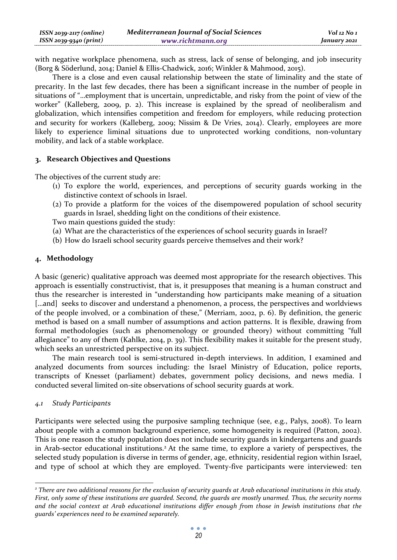with negative workplace phenomena, such as stress, lack of sense of belonging, and job insecurity (Borg & Söderlund, 2014; Daniel & Ellis-Chadwick, 2016; Winkler & Mahmood, 2015).

There is a close and even causal relationship between the state of liminality and the state of precarity. In the last few decades, there has been a significant increase in the number of people in situations of "…employment that is uncertain, unpredictable, and risky from the point of view of the worker" (Kalleberg, 2009, p. 2). This increase is explained by the spread of neoliberalism and globalization, which intensifies competition and freedom for employers, while reducing protection and security for workers (Kalleberg, 2009; Nissim & De Vries, 2014). Clearly, employees are more likely to experience liminal situations due to unprotected working conditions, non-voluntary mobility, and lack of a stable workplace.

# **Research Objectives and Questions**

The objectives of the current study are:

- (1) To explore the world, experiences, and perceptions of security guards working in the distinctive context of schools in Israel.
- (2) To provide a platform for the voices of the disempowered population of school security guards in Israel, shedding light on the conditions of their existence.

Two main questions guided the study:

- (a) What are the characteristics of the experiences of school security guards in Israel?
- (b) How do Israeli school security guards perceive themselves and their work?

# **Methodology**

A basic (generic) qualitative approach was deemed most appropriate for the research objectives. This approach is essentially constructivist, that is, it presupposes that meaning is a human construct and thus the researcher is interested in "understanding how participants make meaning of a situation [...and] seeks to discover and understand a phenomenon, a process, the perspectives and worldviews of the people involved, or a combination of these," (Merriam, 2002, p. 6). By definition, the generic method is based on a small number of assumptions and action patterns. It is flexible, drawing from formal methodologies (such as phenomenology or grounded theory) without committing "full allegiance" to any of them (Kahlke, 2014, p. 39). This flexibility makes it suitable for the present study, which seeks an unrestricted perspective on its subject.

The main research tool is semi-structured in-depth interviews. In addition, I examined and analyzed documents from sources including: the Israel Ministry of Education, police reports, transcripts of Knesset (parliament) debates, government policy decisions, and news media. I conducted several limited on-site observations of school security guards at work.

# *4.1 Study Participants*

Participants were selected using the purposive sampling technique (see, e.g., Palys, 2008). To learn about people with a common background experience, some homogeneity is required (Patton, 2002). This is one reason the study population does not include security guards in kindergartens and guards in Arab-sector educational institutions.<sup>2</sup> At the same time, to explore a variety of perspectives, the selected study population is diverse in terms of gender, age, ethnicity, residential region within Israel, and type of school at which they are employed. Twenty-five participants were interviewed: ten

*<sup>2</sup> There are two additional reasons for the exclusion of security guards at Arab educational institutions in this study. First, only some of these institutions are guarded. Second, the guards are mostly unarmed. Thus, the security norms and the social context at Arab educational institutions differ enough from those in Jewish institutions that the guards' experiences need to be examined separately.*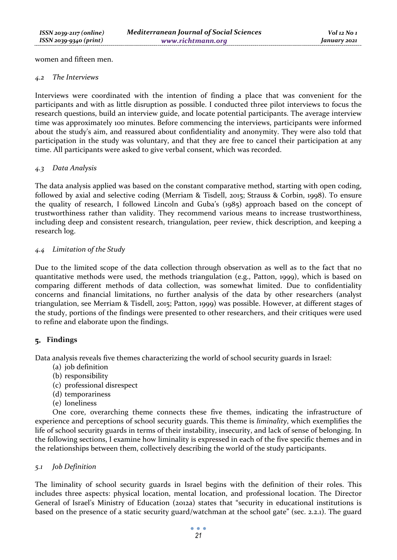women and fifteen men.

## *4.2 The Interviews*

Interviews were coordinated with the intention of finding a place that was convenient for the participants and with as little disruption as possible. I conducted three pilot interviews to focus the research questions, build an interview guide, and locate potential participants. The average interview time was approximately 100 minutes. Before commencing the interviews, participants were informed about the study's aim, and reassured about confidentiality and anonymity. They were also told that participation in the study was voluntary, and that they are free to cancel their participation at any time. All participants were asked to give verbal consent, which was recorded.

# *4.3 Data Analysis*

The data analysis applied was based on the constant comparative method, starting with open coding, followed by axial and selective coding (Merriam & Tisdell, 2015; Strauss & Corbin, 1998). To ensure the quality of research, I followed Lincoln and Guba's (1985) approach based on the concept of trustworthiness rather than validity. They recommend various means to increase trustworthiness, including deep and consistent research, triangulation, peer review, thick description, and keeping a research log.

# *4.4 Limitation of the Study*

Due to the limited scope of the data collection through observation as well as to the fact that no quantitative methods were used, the methods triangulation (e.g., Patton, 1999), which is based on comparing different methods of data collection, was somewhat limited. Due to confidentiality concerns and financial limitations, no further analysis of the data by other researchers (analyst triangulation, see Merriam & Tisdell, 2015; Patton, 1999) was possible. However, at different stages of the study, portions of the findings were presented to other researchers, and their critiques were used to refine and elaborate upon the findings.

# **Findings**

Data analysis reveals five themes characterizing the world of school security guards in Israel:

- (a) job definition
- (b) responsibility
- (c) professional disrespect
- (d) temporariness
- (e) loneliness

One core, overarching theme connects these five themes, indicating the infrastructure of experience and perceptions of school security guards. This theme is *liminality*, which exemplifies the life of school security guards in terms of their instability, insecurity, and lack of sense of belonging. In the following sections, I examine how liminality is expressed in each of the five specific themes and in the relationships between them, collectively describing the world of the study participants.

# *5.1 Job Definition*

The liminality of school security guards in Israel begins with the definition of their roles. This includes three aspects: physical location, mental location, and professional location. The Director General of Israel's Ministry of Education (2012a) states that "security in educational institutions is based on the presence of a static security guard/watchman at the school gate" (sec. 2.2.1). The guard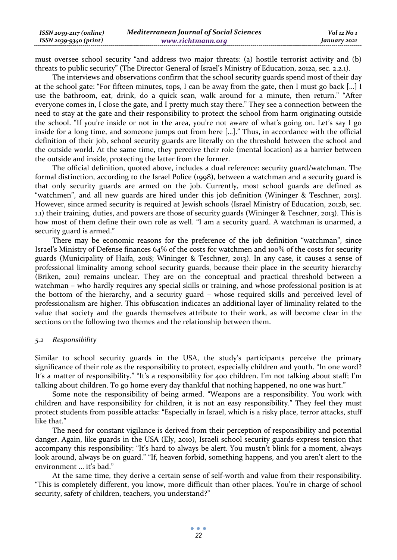| $ISSN 2039-2117 (online)$ | <b>Mediterranean Journal of Social Sciences</b> | Vol 12 No 1  |
|---------------------------|-------------------------------------------------|--------------|
| ISSN 2039-9340 (print)    | www.richtmann.org                               | January 2021 |

must oversee school security "and address two major threats: (a) hostile terrorist activity and (b) threats to public security" (The Director General of Israel's Ministry of Education, 2012a, sec. 2.2.1).

The interviews and observations confirm that the school security guards spend most of their day at the school gate: "For fifteen minutes, tops, I can be away from the gate, then I must go back […] I use the bathroom, eat, drink, do a quick scan, walk around for a minute, then return." "After everyone comes in, I close the gate, and I pretty much stay there." They see a connection between the need to stay at the gate and their responsibility to protect the school from harm originating outside the school. "If you're inside or not in the area, you're not aware of what's going on. Let's say I go inside for a long time, and someone jumps out from here […]." Thus, in accordance with the official definition of their job, school security guards are literally on the threshold between the school and the outside world. At the same time, they perceive their role (mental location) as a barrier between the outside and inside, protecting the latter from the former.

The official definition, quoted above, includes a dual reference: security guard/watchman. The formal distinction, according to the Israel Police (1998), between a watchman and a security guard is that only security guards are armed on the job. Currently, most school guards are defined as "watchmen", and all new guards are hired under this job definition (Wininger & Teschner, 2013). However, since armed security is required at Jewish schools (Israel Ministry of Education, 2012b, sec. 1.1) their training, duties, and powers are those of security guards (Wininger & Teschner, 2013). This is how most of them define their own role as well. "I am a security guard. A watchman is unarmed, a security guard is armed."

There may be economic reasons for the preference of the job definition "watchman", since Israel's Ministry of Defense finances 64% of the costs for watchmen and 100% of the costs for security guards (Municipality of Haifa, 2018; Wininger & Teschner, 2013). In any case, it causes a sense of professional liminality among school security guards, because their place in the security hierarchy (Briken, 2011) remains unclear. They are on the conceptual and practical threshold between a watchman – who hardly requires any special skills or training, and whose professional position is at the bottom of the hierarchy, and a security guard – whose required skills and perceived level of professionalism are higher. This obfuscation indicates an additional layer of liminality related to the value that society and the guards themselves attribute to their work, as will become clear in the sections on the following two themes and the relationship between them.

## *5.2 Responsibility*

Similar to school security guards in the USA, the study's participants perceive the primary significance of their role as the responsibility to protect, especially children and youth. "In one word? It's a matter of responsibility." "It's a responsibility for 400 children. I'm not talking about staff; I'm talking about children. To go home every day thankful that nothing happened, no one was hurt."

Some note the responsibility of being armed. "Weapons are a responsibility. You work with children and have responsibility for children, it is not an easy responsibility." They feel they must protect students from possible attacks: "Especially in Israel, which is a risky place, terror attacks, stuff like that."

The need for constant vigilance is derived from their perception of responsibility and potential danger. Again, like guards in the USA (Ely, 2010), Israeli school security guards express tension that accompany this responsibility: "It's hard to always be alert. You mustn't blink for a moment, always look around, always be on guard." "If, heaven forbid, something happens, and you aren't alert to the environment ... it's bad."

At the same time, they derive a certain sense of self-worth and value from their responsibility. "This is completely different, you know, more difficult than other places. You're in charge of school security, safety of children, teachers, you understand?"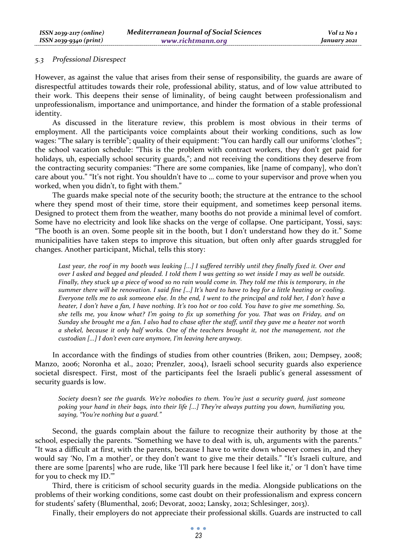## *5.3 Professional Disrespect*

However, as against the value that arises from their sense of responsibility, the guards are aware of disrespectful attitudes towards their role, professional ability, status, and of low value attributed to their work. This deepens their sense of liminality, of being caught between professionalism and unprofessionalism, importance and unimportance, and hinder the formation of a stable professional identity.

As discussed in the literature review, this problem is most obvious in their terms of employment. All the participants voice complaints about their working conditions, such as low wages: "The salary is terrible"; quality of their equipment: "You can hardly call our uniforms 'clothes'"; the school vacation schedule: "This is the problem with contract workers, they don't get paid for holidays, uh, especially school security guards,"; and not receiving the conditions they deserve from the contracting security companies: "There are some companies, like [name of company], who don't care about you." "It's not right. You shouldn't have to … come to your supervisor and prove when you worked, when you didn't, to fight with them."

The guards make special note of the security booth; the structure at the entrance to the school where they spend most of their time, store their equipment, and sometimes keep personal items. Designed to protect them from the weather, many booths do not provide a minimal level of comfort. Some have no electricity and look like shacks on the verge of collapse. One participant, Yossi, says: "The booth is an oven. Some people sit in the booth, but I don't understand how they do it." Some municipalities have taken steps to improve this situation, but often only after guards struggled for changes. Another participant, Michal, tells this story:

*Last year, the roof in my booth was leaking [...] I suffered terribly until they finally fixed it. Over and over I asked and begged and pleaded. I told them I was getting so wet inside I may as well be outside. Finally, they stuck up a piece of wood so no rain would come in. They told me this is temporary, in the summer there will be renovation. I said fine […] It's hard to have to beg for a little heating or cooling. Everyone tells me to ask someone else. In the end, I went to the principal and told her, I don't have a heater, I don't have a fan, I have nothing. It's too hot or too cold. You have to give me something. So, she tells me, you know what? I'm going to fix up something for you. That was on Friday, and on Sunday she brought me a fan. I also had to chase after the staff, until they gave me a heater not worth a shekel, because it only half works. One of the teachers brought it, not the management, not the custodian [...] I don't even care anymore, I'm leaving here anyway.* 

In accordance with the findings of studies from other countries (Briken, 2011; Dempsey, 2008; Manzo, 2006; Noronha et al., 2020; Prenzler, 2004), Israeli school security guards also experience societal disrespect. First, most of the participants feel the Israeli public's general assessment of security guards is low.

*Society doesn't see the guards. We're nobodies to them. You're just a security guard, just someone poking your hand in their bags, into their life [...] They're always putting you down, humiliating you, saying, "You're nothing but a guard."* 

Second, the guards complain about the failure to recognize their authority by those at the school, especially the parents. "Something we have to deal with is, uh, arguments with the parents." "It was a difficult at first, with the parents, because I have to write down whoever comes in, and they would say 'No, I'm a mother', or they don't want to give me their details." "It's Israeli culture, and there are some [parents] who are rude, like 'I'll park here because I feel like it,' or 'I don't have time for you to check my ID.'"

Third, there is criticism of school security guards in the media. Alongside publications on the problems of their working conditions, some cast doubt on their professionalism and express concern for students' safety (Blumenthal, 2016; Devorat, 2002; Lansky, 2012; Schlesinger, 2013).

Finally, their employers do not appreciate their professional skills. Guards are instructed to call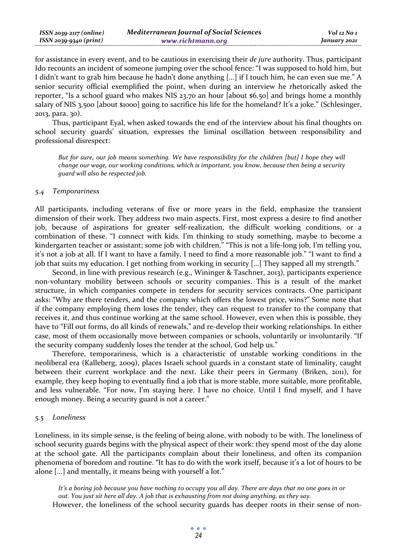| $ISSN 2039-2117 (online)$ | <b>Mediterranean Journal of Social Sciences</b> | Vol 12 No 1  |
|---------------------------|-------------------------------------------------|--------------|
| ISSN 2039-9340 (print)    | www.richtmann.org                               | January 2021 |

for assistance in every event, and to be cautious in exercising their *de jure* authority. Thus, participant Ido recounts an incident of someone jumping over the school fence: "I was supposed to hold him, but I didn't want to grab him because he hadn't done anything [...] if I touch him, he can even sue me." A senior security official exemplified the point, when during an interview he rhetorically asked the reporter, "Is a school guard who makes NIS 23.70 an hour [about \$6.50] and brings home a monthly salary of NIS 3,500 [about \$1000] going to sacrifice his life for the homeland? It's a joke." (Schlesinger, 2013, para. 30).

Thus, participant Eyal, when asked towards the end of the interview about his final thoughts on school security guards' situation, expresses the liminal oscillation between responsibility and professional disrespect:

*But for sure, our job means something. We have responsibility for the children [but] I hope they will change our wage, our working conditions, which is important, you know, because then being a security guard will also be respected job.* 

### *5.4 Temporariness*

All participants, including veterans of five or more years in the field, emphasize the transient dimension of their work. They address two main aspects. First, most express a desire to find another job, because of aspirations for greater self-realization, the difficult working conditions, or a combination of these. "I connect with kids. I'm thinking to study something, maybe to become a kindergarten teacher or assistant; some job with children." "This is not a life-long job, I'm telling you, it's not a job at all. If I want to have a family, I need to find a more reasonable job." "I want to find a job that suits my education. I get nothing from working in security [...] They sapped all my strength."

Second, in line with previous research (e.g., Wininger & Taschner, 2013), participants experience non-voluntary mobility between schools or security companies. This is a result of the market structure, in which companies compete in tenders for security services contracts. One participant asks: "Why are there tenders, and the company which offers the lowest price, wins?" Some note that if the company employing them loses the tender, they can request to transfer to the company that receives it, and thus continue working at the same school. However, even when this is possible, they have to "Fill out forms, do all kinds of renewals," and re-develop their working relationships. In either case, most of them occasionally move between companies or schools, voluntarily or involuntarily. "If the security company suddenly loses the tender at the school, God help us."

Therefore, temporariness, which is a characteristic of unstable working conditions in the neoliberal era (Kalleberg, 2009), places Israeli school guards in a constant state of liminality, caught between their current workplace and the next. Like their peers in Germany (Briken, 2011), for example, they keep hoping to eventually find a job that is more stable, more suitable, more profitable, and less vulnerable. "For now, I'm staying here. I have no choice. Until I find myself, and I have enough money. Being a security guard is not a career."

# *5.5 Loneliness*

Loneliness, in its simple sense, is the feeling of being alone, with nobody to be with. The loneliness of school security guards begins with the physical aspect of their work: they spend most of the day alone at the school gate. All the participants complain about their loneliness, and often its companion phenomena of boredom and routine. "It has to do with the work itself, because it's a lot of hours to be alone [...] and mentally, it means being with yourself a lot."

*It's a boring job because you have nothing to occupy you all day. There are days that no one goes in or out. You just sit here all day. A job that is exhausting from not doing anything, as they say.*  However, the loneliness of the school security guards has deeper roots in their sense of non-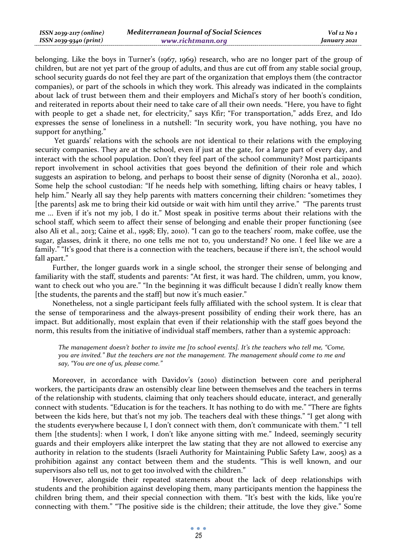| ISSN 2039-2117 (online) | <b>Mediterranean Journal of Social Sciences</b> | Vol 12 No 1  |
|-------------------------|-------------------------------------------------|--------------|
| ISSN 2039-9340 (print)  | www.richtmann.org                               | January 2021 |

belonging. Like the boys in Turner's (1967, 1969) research, who are no longer part of the group of children, but are not yet part of the group of adults, and thus are cut off from any stable social group, school security guards do not feel they are part of the organization that employs them (the contractor companies), or part of the schools in which they work. This already was indicated in the complaints about lack of trust between them and their employers and Michal's story of her booth's condition, and reiterated in reports about their need to take care of all their own needs. "Here, you have to fight with people to get a shade net, for electricity," says Kfir; "For transportation," adds Erez, and Ido expresses the sense of loneliness in a nutshell: "In security work, you have nothing, you have no support for anything."

 Yet guards' relations with the schools are not identical to their relations with the employing security companies. They are at the school, even if just at the gate, for a large part of every day, and interact with the school population. Don't they feel part of the school community? Most participants report involvement in school activities that goes beyond the definition of their role and which suggests an aspiration to belong, and perhaps to boost their sense of dignity (Noronha et al., 2020). Some help the school custodian: "If he needs help with something, lifting chairs or heavy tables, I help him." Nearly all say they help parents with matters concerning their children: "sometimes they [the parents] ask me to bring their kid outside or wait with him until they arrive." "The parents trust me ... Even if it's not my job, I do it." Most speak in positive terms about their relations with the school staff, which seem to affect their sense of belonging and enable their proper functioning (see also Ali et al., 2013; Caine et al., 1998; Ely, 2010). "I can go to the teachers' room, make coffee, use the sugar, glasses, drink it there, no one tells me not to, you understand? No one. I feel like we are a family." "It's good that there is a connection with the teachers, because if there isn't, the school would fall apart."

Further, the longer guards work in a single school, the stronger their sense of belonging and familiarity with the staff, students and parents: "At first, it was hard. The children, umm, you know, want to check out who you are." "In the beginning it was difficult because I didn't really know them [the students, the parents and the staff] but now it's much easier."

Nonetheless, not a single participant feels fully affiliated with the school system. It is clear that the sense of temporariness and the always-present possibility of ending their work there, has an impact. But additionally, most explain that even if their relationship with the staff goes beyond the norm, this results from the initiative of individual staff members, rather than a systemic approach:

*The management doesn't bother to invite me [to school events]. It's the teachers who tell me, "Come, you are invited." But the teachers are not the management. The management should come to me and say, "You are one of us, please come."* 

Moreover, in accordance with Davidov's (2010) distinction between core and peripheral workers, the participants draw an ostensibly clear line between themselves and the teachers in terms of the relationship with students, claiming that only teachers should educate, interact, and generally connect with students. "Education is for the teachers. It has nothing to do with me." "There are fights between the kids here, but that's not my job. The teachers deal with these things." "I get along with the students everywhere because I, I don't connect with them, don't communicate with them." "I tell them [the students]: when I work, I don't like anyone sitting with me." Indeed, seemingly security guards and their employers alike interpret the law stating that they are not allowed to exercise any authority in relation to the students (Israeli Authority for Maintaining Public Safety Law, 2005) as a prohibition against any contact between them and the students. "This is well known, and our supervisors also tell us, not to get too involved with the children."

However, alongside their repeated statements about the lack of deep relationships with students and the prohibition against developing them, many participants mention the happiness the children bring them, and their special connection with them. "It's best with the kids, like you're connecting with them." "The positive side is the children; their attitude, the love they give." Some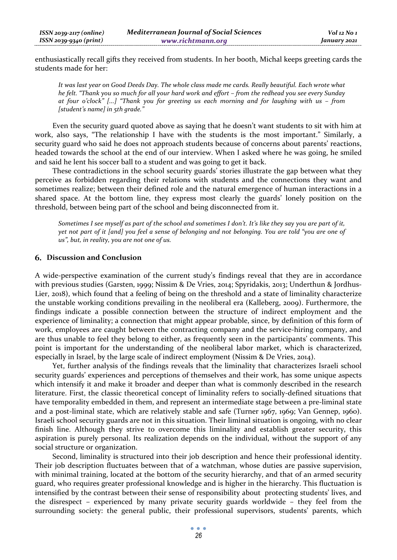enthusiastically recall gifts they received from students. In her booth, Michal keeps greeting cards the students made for her:

*It was last year on Good Deeds Day. The whole class made me cards. Really beautiful. Each wrote what he felt. "Thank you so much for all your hard work and effort – from the redhead you see every Sunday at four o'clock" [...] "Thank you for greeting us each morning and for laughing with us – from [student's name] in 5th grade."* 

Even the security guard quoted above as saying that he doesn't want students to sit with him at work, also says, "The relationship I have with the students is the most important." Similarly, a security guard who said he does not approach students because of concerns about parents' reactions, headed towards the school at the end of our interview. When I asked where he was going, he smiled and said he lent his soccer ball to a student and was going to get it back.

These contradictions in the school security guards' stories illustrate the gap between what they perceive as forbidden regarding their relations with students and the connections they want and sometimes realize; between their defined role and the natural emergence of human interactions in a shared space. At the bottom line, they express most clearly the guards' lonely position on the threshold, between being part of the school and being disconnected from it.

*Sometimes I see myself as part of the school and sometimes I don't. It's like they say you are part of it, yet not part of it [and] you feel a sense of belonging and not belonging. You are told "you are one of us", but, in reality, you are not one of us.* 

#### **Discussion and Conclusion**

A wide-perspective examination of the current study's findings reveal that they are in accordance with previous studies (Garsten, 1999; Nissim & De Vries, 2014; Spyridakis, 2013; Underthun & Jordhus-Lier, 2018), which found that a feeling of being on the threshold and a state of liminality characterize the unstable working conditions prevailing in the neoliberal era (Kalleberg, 2009). Furthermore, the findings indicate a possible connection between the structure of indirect employment and the experience of liminality; a connection that might appear probable, since, by definition of this form of work, employees are caught between the contracting company and the service-hiring company, and are thus unable to feel they belong to either, as frequently seen in the participants' comments. This point is important for the understanding of the neoliberal labor market, which is characterized, especially in Israel, by the large scale of indirect employment (Nissim & De Vries, 2014).

Yet, further analysis of the findings reveals that the liminality that characterizes Israeli school security guards' experiences and perceptions of themselves and their work, has some unique aspects which intensify it and make it broader and deeper than what is commonly described in the research literature. First, the classic theoretical concept of liminality refers to socially-defined situations that have temporality embedded in them, and represent an intermediate stage between a pre-liminal state and a post-liminal state, which are relatively stable and safe (Turner 1967, 1969; Van Gennep, 1960). Israeli school security guards are not in this situation. Their liminal situation is ongoing, with no clear finish line. Although they strive to overcome this liminality and establish greater security, this aspiration is purely personal. Its realization depends on the individual, without the support of any social structure or organization.

Second, liminality is structured into their job description and hence their professional identity. Their job description fluctuates between that of a watchman, whose duties are passive supervision, with minimal training, located at the bottom of the security hierarchy, and that of an armed security guard, who requires greater professional knowledge and is higher in the hierarchy. This fluctuation is intensified by the contrast between their sense of responsibility about protecting students' lives, and the disrespect – experienced by many private security guards worldwide – they feel from the surrounding society: the general public, their professional supervisors, students' parents, which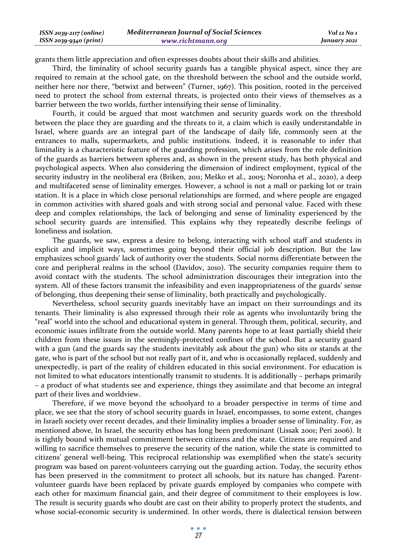| $ISSN 2039-2117 (online)$ | <b>Mediterranean Journal of Social Sciences</b> | Vol 12 No 1  |
|---------------------------|-------------------------------------------------|--------------|
| ISSN 2039-9340 (print)    | www.richtmann.org                               | January 2021 |

grants them little appreciation and often expresses doubts about their skills and abilities.

Third, the liminality of school security guards has a tangible physical aspect, since they are required to remain at the school gate, on the threshold between the school and the outside world, neither here nor there, "betwixt and between" (Turner, 1967). This position, rooted in the perceived need to protect the school from external threats, is projected onto their views of themselves as a barrier between the two worlds, further intensifying their sense of liminality.

Fourth, it could be argued that most watchmen and security guards work on the threshold between the place they are guarding and the threats to it, a claim which is easily understandable in Israel, where guards are an integral part of the landscape of daily life, commonly seen at the entrances to malls, supermarkets, and public institutions. Indeed, it is reasonable to infer that liminality is a characteristic feature of the guarding profession, which arises from the role definition of the guards as barriers between spheres and, as shown in the present study, has both physical and psychological aspects. When also considering the dimension of indirect employment, typical of the security industry in the neoliberal era (Briken, 2011; Meško et al., 2005; Noronha et al., 2020), a deep and multifaceted sense of liminality emerges. However, a school is not a mall or parking lot or train station. It is a place in which close personal relationships are formed, and where people are engaged in common activities with shared goals and with strong social and personal value. Faced with these deep and complex relationships, the lack of belonging and sense of liminality experienced by the school security guards are intensified. This explains why they repeatedly describe feelings of loneliness and isolation.

The guards, we saw, express a desire to belong, interacting with school staff and students in explicit and implicit ways, sometimes going beyond their official job description. But the law emphasizes school guards' lack of authority over the students. Social norms differentiate between the core and peripheral realms in the school (Davidov, 2010). The security companies require them to avoid contact with the students. The school administration discourages their integration into the system. All of these factors transmit the infeasibility and even inappropriateness of the guards' sense of belonging, thus deepening their sense of liminality, both practically and psychologically.

Nevertheless, school security guards inevitably have an impact on their surroundings and its tenants. Their liminality is also expressed through their role as agents who involuntarily bring the "real" world into the school and educational system in general. Through them, political, security, and economic issues infiltrate from the outside world. Many parents hope to at least partially shield their children from these issues in the seemingly-protected confines of the school. But a security guard with a gun (and the guards say the students inevitably ask about the gun) who sits or stands at the gate, who is part of the school but not really part of it, and who is occasionally replaced, suddenly and unexpectedly, is part of the reality of children educated in this social environment. For education is not limited to what educators intentionally transmit to students. It is additionally – perhaps primarily – a product of what students see and experience, things they assimilate and that become an integral part of their lives and worldview.

Therefore, if we move beyond the schoolyard to a broader perspective in terms of time and place, we see that the story of school security guards in Israel, encompasses, to some extent, changes in Israeli society over recent decades, and their liminality implies a broader sense of liminality. For, as mentioned above, In Israel, the security ethos has long been predominant (Lissak 2001; Peri 2006). It is tightly bound with mutual commitment between citizens and the state. Citizens are required and willing to sacrifice themselves to preserve the security of the nation, while the state is committed to citizens' general well-being. This reciprocal relationship was exemplified when the state's security program was based on parent-volunteers carrying out the guarding action. Today, the security ethos has been preserved in the commitment to protect all schools, but its nature has changed. Parentvolunteer guards have been replaced by private guards employed by companies who compete with each other for maximum financial gain, and their degree of commitment to their employees is low. The result is security guards who doubt are cast on their ability to properly protect the students, and whose social-economic security is undermined. In other words, there is dialectical tension between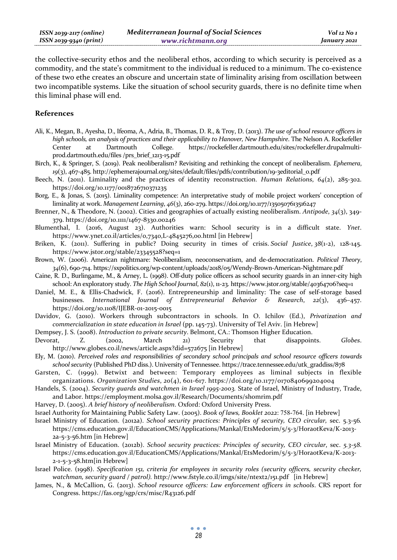| $ISSN 2039-2117 (online)$ | <b>Mediterranean Journal of Social Sciences</b> | Vol 12 No 1  |
|---------------------------|-------------------------------------------------|--------------|
| ISSN 2039-9340 (print)    | www.richtmann.org                               | January 2021 |

the collective-security ethos and the neoliberal ethos, according to which security is perceived as a commodity, and the state's commitment to the individual is reduced to a minimum. The co-existence of these two ethe creates an obscure and uncertain state of liminality arising from oscillation between two incompatible systems. Like the situation of school security guards, there is no definite time when this liminal phase will end.

### **References**

- Ali, K., Megan, B., Ayesha, D., Ifeoma, A., Adria, B., Thomas, D. R., & Troy, D. (2013). *The use of school resource officers in high schools, an analysis of practices and their applicability to Hanover, New Hampshire*. The Nelson A. Rockefeller Center at Dartmouth College. https://rockefeller.dartmouth.edu/sites/rockefeller.drupalmultiprod.dartmouth.edu/files /prs\_brief\_1213-15.pdf
- Birch, K., & Springer, S. (2019). Peak neoliberalism? Revisiting and rethinking the concept of neoliberalism. *Ephemera*, *19*(3), 467-485. http://ephemerajournal.org/sites/default/files/pdfs/contribution/19-3editorial\_0.pdf
- Beech, N. (2011). Liminality and the practices of identity reconstruction . *Human Relations*, *64*(2), 285-302. https://doi.org/10.1177/0018726710371235
- Borg, E., & Jonas, S. (2015). Liminality competence: An interpretative study of mobile project workers' conception of liminality at work. *Management Learning*, *46*(3), 260-279. https://doi.org/10.1177/1350507613516247
- Brenner, N., & Theodore, N. (2002). Cities and geographies of actually existing neoliberalism. *Antipode*, *34*(3), 349- 379. https://doi.org/10.1111/1467-8330.00246
- Blumenthal, I. (2016, August 23). Authorities warn: School security is in a difficult state. *Ynet*. https://www.ynet.co.il/articles/0,7340,L-4845276,00.html [in Hebrew]
- Briken, K. (2011). Suffering in public? Doing security in times of crisis. *Social Justice*, *38*(1-2), 128-145. https://www.jstor.org/stable/23345528?seq=1
- Brown, W. (2006). American nightmare: Neoliberalism, neoconservatism, and de-democratization. *Political Theory*, *34*(6), 690-714. https://sxpolitics.org/wp-content/uploads/2018/05/Wendy-Brown-American-Nightmare.pdf
- Caine, R. D., Burlingame, M., & Arney, L. (1998). Off-duty police officers as school security guards in an inner-city high school: An exploratory study. *The High School Journal*,  $82(1)$ , 11-23. https://www.jstor.org/stable/40364706?seq=1
- Daniel, M. E., & Ellis-Chadwick, F. (2016). Entrepreneurship and liminality: The case of self-storage based businesses. *International Journal of Entrepreneurial Behavior & Research*, *22*(3), 436–457. https://doi.org/10.1108/IJEBR-01-2015-0015
- Davidov, G. (2010). Workers through subcontractors in schools. In O. Ichilov (Ed.), *Privatization and commercialization in state education in Israel* (pp. 145-73). University of Tel Aviv. [in Hebrew]
- Dempsey, J. S. (2008). *Introduction to private security*. Belmont, CA.: Thomson Higher Education.

Devorat, Z. (2002, March 21) Security that disappoints. *Globes*. http://www.globes.co.il/news/article.aspx?did=572675 [in Hebrew]

- Ely, M. (2010). *Perceived roles and responsibilities of secondary school principals and school resource officers towards school security* (Published PhD diss.). University of Tennessee. https://trace.tennessee.edu/utk\_graddiss/878
- Garsten, C. (1999). Betwixt and between: Temporary employees as liminal subjects in flexible organizations. *Organization Studies*, *20*(4), 601-617. https://doi.org/10.1177/0170840699204004
- Handels, S. (2004). *Security guards and watchmen in Israel 1995-2003.* State of Israel, Ministry of Industry, Trade, and Labor. https://employment.molsa.gov.il/Research/Documents/shomrim.pdf
- Harvey, D. (2005). *A brief history of neoliberalism*. Oxford: Oxford University Press.
- Israel Authority for Maintaining Public Safety Law. (2005). *Book of laws, Booklet 2022*: 758-764. [in Hebrew]
- Israel Ministry of Education. (2012a). *School security practices: Principles of security, CEO circular,* sec. 5.3-56*.* https://cms.education.gov.il/EducationCMS/Applications/Mankal/EtsMedorim/5/5-3/HoraotKeva/K-2013- 2a-5-3-56.htm [in Hebrew]
- Israel Ministry of Education. (2012b). *School security practices: Principles of security, CEO circular*, sec. *5.3-58*. https://cms.education.gov.il/EducationCMS/Applications/Mankal/EtsMedorim/5/5-3/HoraotKeva/K-2013- 2-1-5-3-58.htm[in Hebrew]
- Israel Police. (1998). *Specification 151, criteria for employees in security roles (security officers, security checker, watchman, security guard / patrol).* http://www.fstyle.co.il/imgs/site/ntext2/151.pdf [in Hebrew]
- James, N., & McCallion, G. (2013). *School resource officers: Law enforcement officers in schools*. CRS report for Congress. https://fas.org/sgp/crs/misc/R43126.pdf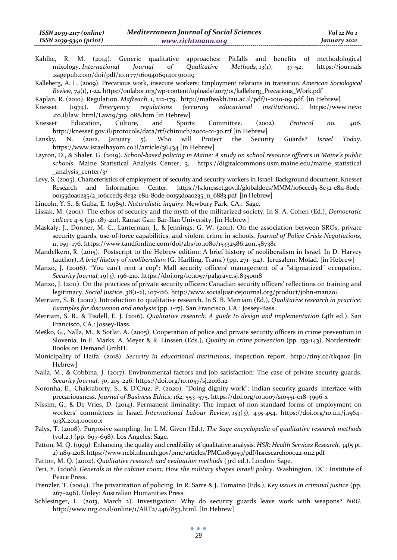Kahlke, R. M. (2014). Generic qualitative approaches: Pitfalls and benefits of methodological mixology. *International Journal of Qualitative Methods*, *13*(1), 37-52. https://journals .sagepub.com/doi/pdf/10.1177/160940691401300119

Kalleberg, A. L. (2009). Precarious work, insecure workers: Employment relations in transition. *American Sociological Review*, *74*(1), 1-22. https://onlabor.org/wp-content/uploads/2017/01/kalleberg\_Precarious\_Work.pdf

Kaplan, R. (2010). Regulation. *Mafteach*, *1*, 212-179. http://mafteakh.tau.ac.il/pdf/1-2010-09.pdf. [in Hebrew]

Knesset. (1974). *Emergency regulations (securing educational institutions)*. https://www.nevo .co.il/law\_html/Law19/319\_088.htm [in Hebrew]

- Knesset Education, Culture, and Sports Committee. (2002). *Protocol no. 406*. http://knesset.gov.il/protocols/data/rtf/chinuch/2002-01-30.rtf [in Hebrew]
- Lansky, N. (2012, January 5). Who will Protect the Security Guards? *Israel Today*. https://www.israelhayom.co.il/article/36434 [in Hebrew]
- Layton, D., & Shaler, G. (2019). *School-based policing in Maine: A study on school resource officers in Maine's public schools*. Maine Statistical Analysis Center, 3. https://digitalcommons.usm.maine.edu/maine\_statistical \_analysis\_center/3/

Levy, S. (2005). Characteristics of employment of security and security workers in Israel: Background document. Knesset Research and Information Center. https://fs.knesset.gov.il/globaldocs/MMM/106cced5-8e32-e811-8ode-00155d0a0235/2\_106cced5-8e32-e811-80de-00155d0a0235\_11\_6883.pdf [in Hebrew]

Lincoln, Y. S., & Guba, E. (1985). *Naturalistic inquiry*. Newbury Park, CA.: Sage.

- Lissak, M. (2001). The ethos of security and the myth of the militarized society. In S. A. Cohen (Ed.), *Democratic culture* 4-5 (pp. 187-211). Ramat Gan: Bar-Ilan University. [in Hebrew]
- Maskaly, J., Donner, M. C., Lanterman, J., & Jennings, G. W. (2011). On the association between SROs, private security guards, use-of-force capabilities, and violent crime in schools*. Journal of Police Crisis Negotiations*, *11*, 159–176. https://www.tandfonline.com/doi/abs/10.1080/15332586.2011.587381
- Mandelkern, R. (2015). Postscript to the Hebrew edition: A brief history of neoliberalism in Israel. In D. Harvey (author), *A brief history of neoliberalism* (G. Harlling, Trans.) (pp. 271–312). Jerusalem: Molad. [in Hebrew]
- Manzo, J. (2006). "You can't rent a cop": Mall security officers' management of a "stigmatized" occupation. *Security Journal, 19*(3), 196-210. https://doi.org/10.1057/palgrave.sj.8350018
- Manzo, J. (2011). On the practices of private security officers: Canadian security officers' reflections on training and legitimacy. *Social Justice*, *38*(1-2), 107-126. http://www.socialjusticejournal.org/product/john-manzo/
- Merriam, S. B. (2002). Introduction to qualitative research. In S. B. Merriam (Ed.), *Qualitative research in practice: Examples for discussion and analysis* (pp. 1-17). San Francisco, CA.: Jossey-Bass.
- Merriam, S. B., & Tisdell, E. J. (2016). *Qualitative research: A guide to design and implementation* (4th ed.). San Francisco, CA.: Jossey-Bass.
- Meško, G., Nalla, M., & Sotlar. A. (2005). Cooperation of police and private security officers in crime prevention in Slovenia. In E. Marks, A. Meyer & R. Linssen (Eds.), *Quality in crime prevention* (pp. 133-143). Norderstedt: Books on Demand GmbH.
- Municipality of Haifa. (2018). *Security in educational institutions*, inspection report. http://tiny.cc/tkqaoz [in Hebrew]
- Nalla, M., & Cobbina, J. (2017). Environmental factors and job satisfaction: The case of private security guards. *Security Journal*, *30*, 215–226. https://doi.org/10.1057/sj.2016.12
- Noronha, E., Chakraborty, S., & D'Cruz. P. (2020). "Doing dignity work": Indian security guards' interface with precariousness. *Journal of Business Ethics*, *162*, 553–575. https://doi.org/10.1007/s10551-018-3996-x
- Nissim, G., & De Vries, D. (2014). Permanent liminality: The impact of non-standard forms of employment on workers' committees in Israel. *International Labour Review*, *153*(3), 435-454. https://doi.org/10.1111/j.1564- 913X.2014.00010.x
- Palys, T. (2008). Purposive sampling. In: L M. Given (Ed.), *The Sage encyclopedia of qualitative research methods* (vol.2.) (pp. 697-698). Los Angeles: Sage.
- Patton, M. Q. (1999). Enhancing the quality and credibility of qualitative analysis. *HSR: Health Services Research*, *34*(5 pt. 2) 1189-1208. https://www.ncbi.nlm.nih.gov/pmc/articles/PMC1089059/pdf/hsresearch00022-0112.pdf

Patton, M. Q. (2002). *Qualitative research and evaluation methods* (3rd ed.). London: Sage.

- Peri, Y. (2006). *Generals in the cabinet room: How the military shapes Israeli policy*. Washington, DC.: Institute of Peace Press.
- Prenzler, T. (2004). The privatization of policing. In R. Sarre & J. Tomaino (Eds.), *Key issues in criminal justice* (pp. 267–296). Unley: Australian Humanities Press.
- Schlesinger, L. (2013, March 2). Investigation: Why do security guards leave work with weapons? *NRG*. http://www.nrg.co.il/online/1/ART2/446/853.html. [In Hebrew]